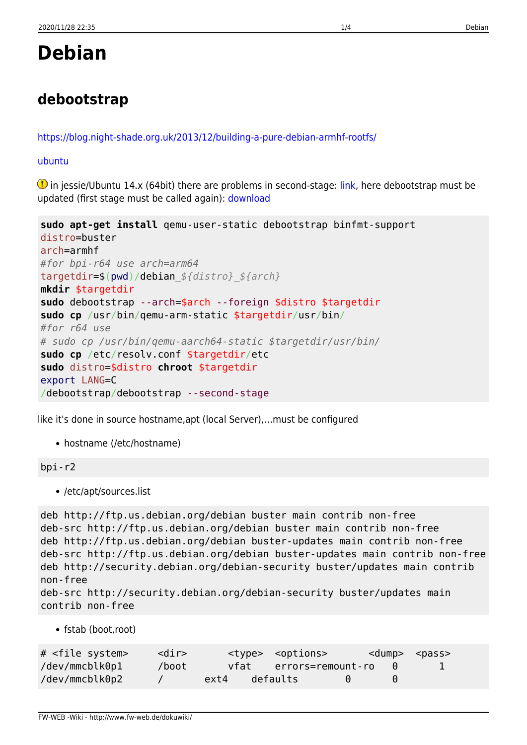# **Debian**

## **debootstrap**

<https://blog.night-shade.org.uk/2013/12/building-a-pure-debian-armhf-rootfs/>

[ubuntu](#page--1-0)

**1** in jessie/Ubuntu 14.x (64bit) there are problems in second-stage: [link,](https://bugs.debian.org/cgi-bin/bugreport.cgi?bug=857338) here debootstrap must be updated (first stage must be called again): [download](https://packages.debian.org/jessie-backports/all/debootstrap/download)

```
sudo apt-get install qemu-user-static debootstrap binfmt-support
distro=buster
arch=armhf
#for bpi-r64 use arch=arm64
targetdir=$(pwd)/debian_${distro}_${arch}
mkdir $targetdir
sudo debootstrap --arch=$arch --foreign $distro $targetdir
sudo cp /usr/bin/qemu-arm-static $targetdir/usr/bin/
#for r64 use
# sudo cp /usr/bin/qemu-aarch64-static $targetdir/usr/bin/
sudo cp /etc/resolv.conf $targetdir/etc
sudo distro=$distro chroot $targetdir
export LANG=C
/debootstrap/debootstrap --second-stage
```
like it's done in source hostname,apt (local Server),…must be configured

• hostname (/etc/hostname)

bpi-r2

/etc/apt/sources.list

```
deb http://ftp.us.debian.org/debian buster main contrib non-free
deb-src http://ftp.us.debian.org/debian buster main contrib non-free
deb http://ftp.us.debian.org/debian buster-updates main contrib non-free
deb-src http://ftp.us.debian.org/debian buster-updates main contrib non-free
deb http://security.debian.org/debian-security buster/updates main contrib
non-free
deb-src http://security.debian.org/debian-security buster/updates main
```

```
contrib non-free
```
• fstab (boot,root)

| # <file system=""></file> | $<$ dir $>$ |      |          | <type> <options></options></type> |                        |                        | <dump> <pass></pass></dump> |
|---------------------------|-------------|------|----------|-----------------------------------|------------------------|------------------------|-----------------------------|
| /dev/mmcblk0p1            | /boot       |      |          | vfat errors=remount-ro            |                        | $\left( \cdot \right)$ | $\perp$                     |
| /dev/mmcblk0p2            |             | ext4 | defaults |                                   | $\left( \cdot \right)$ | $\left(\cdot\right)$   |                             |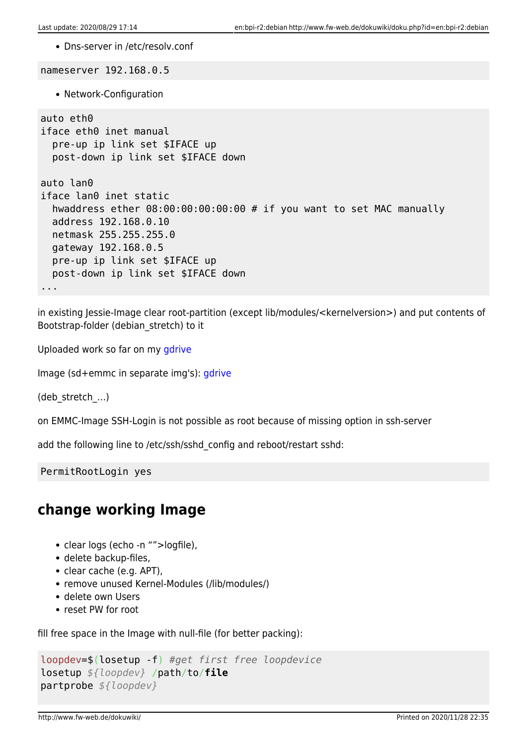Dns-server in /etc/resolv.conf

nameserver 192.168.0.5 • Network-Configuration auto eth0 iface eth0 inet manual pre-up ip link set \$IFACE up post-down ip link set \$IFACE down auto lan0 iface lan0 inet static hwaddress ether 08:00:00:00:00:00 # if you want to set MAC manually address 192.168.0.10 netmask 255.255.255.0 gateway 192.168.0.5 pre-up ip link set \$IFACE up post-down ip link set \$IFACE down ...

in existing Jessie-Image clear root-partition (except lib/modules/<kernelversion>) and put contents of Bootstrap-folder (debian\_stretch) to it

Uploaded work so far on my [gdrive](https://drive.google.com/drive/folders/15Y5Y3NAOwg_IMmN3k6hdb7pAQj9oTVTl?usp=sharing)

Image (sd+emmc in separate img's): [gdrive](https://drive.google.com/drive/folders/1oP7jy1KrrIOifvImo2nQ59wx3_9hHkgk?usp=sharing)

(deb\_stretch\_…)

on EMMC-Image SSH-Login is not possible as root because of missing option in ssh-server

add the following line to /etc/ssh/sshd\_config and reboot/restart sshd:

PermitRootLogin yes

### **change working Image**

- clear logs (echo -n "">logfile),
- delete backup-files,
- clear cache (e.g. APT),
- remove unused Kernel-Modules (/lib/modules/)
- delete own Users
- reset PW for root

fill free space in the Image with null-file (for better packing):

```
loopdev=$(losetup -f) #get first free loopdevice
losetup ${loopdev} /path/to/file
partprobe ${loopdev}
```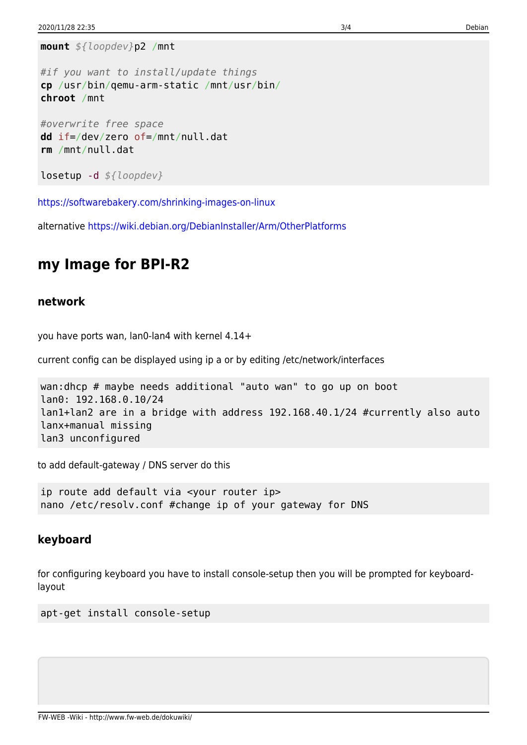**mount** *\${loopdev}*p2 /mnt

```
#if you want to install/update things
cp /usr/bin/qemu-arm-static /mnt/usr/bin/
chroot /mnt
```

```
#overwrite free space
dd if=/dev/zero of=/mnt/null.dat
rm /mnt/null.dat
```

```
losetup -d ${loopdev}
```
<https://softwarebakery.com/shrinking-images-on-linux>

alternative<https://wiki.debian.org/DebianInstaller/Arm/OtherPlatforms>

### **my Image for BPI-R2**

#### **network**

you have ports wan, lan0-lan4 with kernel 4.14+

current config can be displayed using ip a or by editing /etc/network/interfaces

```
wan:dhcp # maybe needs additional "auto wan" to go up on boot
lan0: 192.168.0.10/24
lan1+lan2 are in a bridge with address 192.168.40.1/24 #currently also auto
lanx+manual missing
lan3 unconfigured
```
to add default-gateway / DNS server do this

ip route add default via <your router ip> nano /etc/resolv.conf #change ip of your gateway for DNS

#### **keyboard**

for configuring keyboard you have to install console-setup then you will be prompted for keyboardlayout

apt-get install console-setup